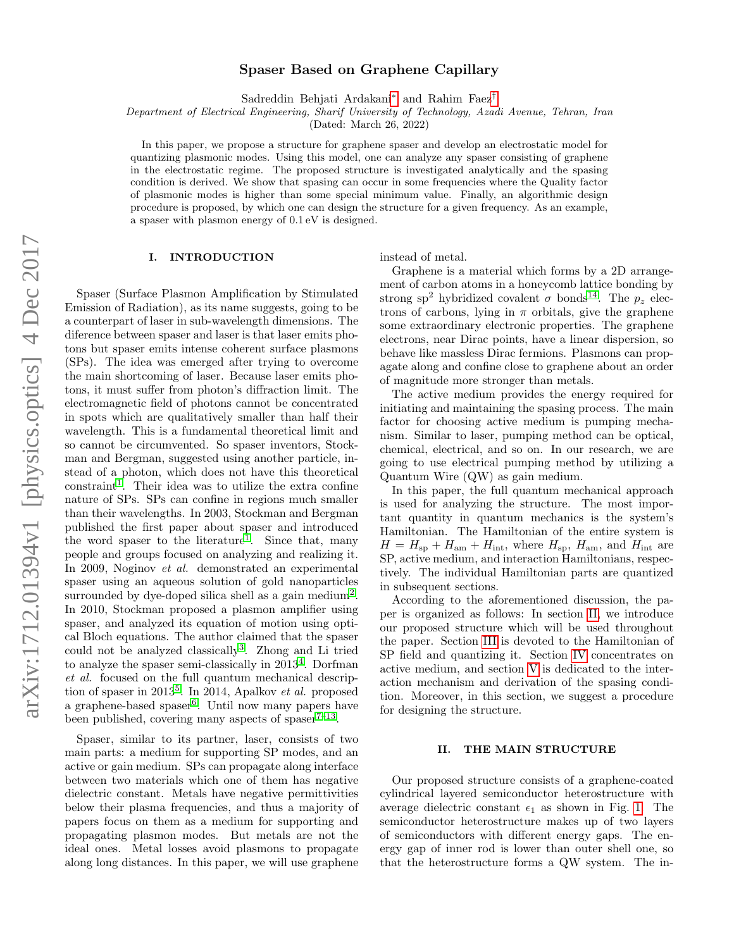# Spaser Based on Graphene Capillary

Sadreddin Behjati Ardakani[∗](#page-7-0) and Rahim Faez[†](#page-7-1)

Department of Electrical Engineering, Sharif University of Technology, Azadi Avenue, Tehran, Iran

(Dated: March 26, 2022)

In this paper, we propose a structure for graphene spaser and develop an electrostatic model for quantizing plasmonic modes. Using this model, one can analyze any spaser consisting of graphene in the electrostatic regime. The proposed structure is investigated analytically and the spasing condition is derived. We show that spasing can occur in some frequencies where the Quality factor of plasmonic modes is higher than some special minimum value. Finally, an algorithmic design procedure is proposed, by which one can design the structure for a given frequency. As an example, a spaser with plasmon energy of 0.1 eV is designed.

# I. INTRODUCTION

Spaser (Surface Plasmon Amplification by Stimulated Emission of Radiation), as its name suggests, going to be a counterpart of laser in sub-wavelength dimensions. The diference between spaser and laser is that laser emits photons but spaser emits intense coherent surface plasmons (SPs). The idea was emerged after trying to overcome the main shortcoming of laser. Because laser emits photons, it must suffer from photon's diffraction limit. The electromagnetic field of photons cannot be concentrated in spots which are qualitatively smaller than half their wavelength. This is a fundamental theoretical limit and so cannot be circumvented. So spaser inventors, Stockman and Bergman, suggested using another particle, instead of a photon, which does not have this theoretical  $constant<sup>1</sup>$  $constant<sup>1</sup>$  $constant<sup>1</sup>$ . Their idea was to utilize the extra confine nature of SPs. SPs can confine in regions much smaller than their wavelengths. In 2003, Stockman and Bergman published the first paper about spaser and introduced the word spaser to the literature<sup>[1](#page-7-2)</sup>. Since that, many people and groups focused on analyzing and realizing it. In 2009, Noginov et al. demonstrated an experimental spaser using an aqueous solution of gold nanoparticles surrounded by dye-doped silica shell as a gain medium<sup>[2](#page-7-3)</sup>. In 2010, Stockman proposed a plasmon amplifier using spaser, and analyzed its equation of motion using optical Bloch equations. The author claimed that the spaser could not be analyzed classically<sup>[3](#page-7-4)</sup>. Zhong and Li tried to analyze the spaser semi-classically in  $2013<sup>4</sup>$  $2013<sup>4</sup>$  $2013<sup>4</sup>$ . Dorfman et al. focused on the full quantum mechanical description of spaser in  $2013^5$  $2013^5$ . In 2014, Apalkov *et al.* proposed a graphene-based spaser<sup>[6](#page-8-0)</sup>. Until now many papers have been published, covering many aspects of spaser $7-13$  $7-13$ .

Spaser, similar to its partner, laser, consists of two main parts: a medium for supporting SP modes, and an active or gain medium. SPs can propagate along interface between two materials which one of them has negative dielectric constant. Metals have negative permittivities below their plasma frequencies, and thus a majority of papers focus on them as a medium for supporting and propagating plasmon modes. But metals are not the ideal ones. Metal losses avoid plasmons to propagate along long distances. In this paper, we will use graphene instead of metal.

Graphene is a material which forms by a 2D arrangement of carbon atoms in a honeycomb lattice bonding by strong sp<sup>2</sup> hybridized covalent  $\sigma$  bonds<sup>[14](#page-8-3)</sup>. The  $p_z$  electrons of carbons, lying in  $\pi$  orbitals, give the graphene some extraordinary electronic properties. The graphene electrons, near Dirac points, have a linear dispersion, so behave like massless Dirac fermions. Plasmons can propagate along and confine close to graphene about an order of magnitude more stronger than metals.

The active medium provides the energy required for initiating and maintaining the spasing process. The main factor for choosing active medium is pumping mechanism. Similar to laser, pumping method can be optical, chemical, electrical, and so on. In our research, we are going to use electrical pumping method by utilizing a Quantum Wire (QW) as gain medium.

In this paper, the full quantum mechanical approach is used for analyzing the structure. The most important quantity in quantum mechanics is the system's Hamiltonian. The Hamiltonian of the entire system is  $H = H<sub>sp</sub> + H<sub>am</sub> + H<sub>int</sub>$ , where  $H<sub>sp</sub>$ ,  $H<sub>am</sub>$ , and  $H<sub>int</sub>$  are SP, active medium, and interaction Hamiltonians, respectively. The individual Hamiltonian parts are quantized in subsequent sections.

According to the aforementioned discussion, the paper is organized as follows: In section [II,](#page-0-0) we introduce our proposed structure which will be used throughout the paper. Section [III](#page-1-0) is devoted to the Hamiltonian of SP field and quantizing it. Section [IV](#page-5-0) concentrates on active medium, and section [V](#page-6-0) is dedicated to the interaction mechanism and derivation of the spasing condition. Moreover, in this section, we suggest a procedure for designing the structure.

## <span id="page-0-0"></span>II. THE MAIN STRUCTURE

Our proposed structure consists of a graphene-coated cylindrical layered semiconductor heterostructure with average dielectric constant  $\epsilon_1$  as shown in Fig. [1.](#page-1-1) The semiconductor heterostructure makes up of two layers of semiconductors with different energy gaps. The energy gap of inner rod is lower than outer shell one, so that the heterostructure forms a QW system. The in-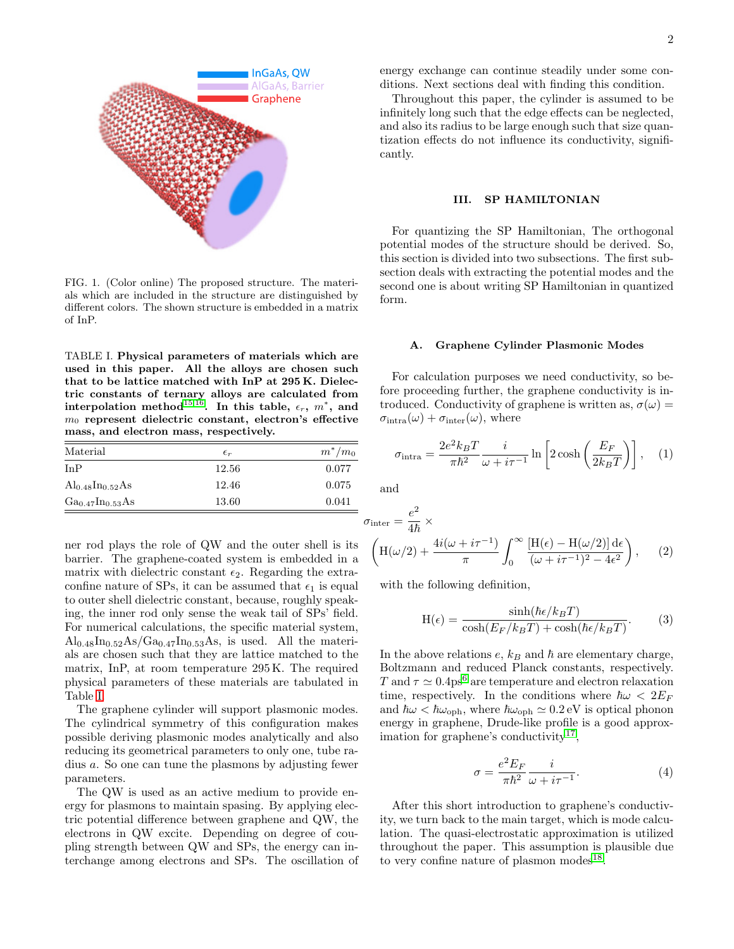

<span id="page-1-1"></span>FIG. 1. (Color online) The proposed structure. The materials which are included in the structure are distinguished by different colors. The shown structure is embedded in a matrix of InP.

<span id="page-1-2"></span>TABLE I. Physical parameters of materials which are used in this paper. All the alloys are chosen such that to be lattice matched with InP at 295 K. Dielectric constants of ternary alloys are calculated from interpolation method<sup>[15,](#page-8-4)[16](#page-8-5)</sup>. In this table,  $\epsilon_r$ ,  $m^*$ , and  $m<sub>0</sub>$  represent dielectric constant, electron's effective mass, and electron mass, respectively.

| Material                   | $\epsilon_r$ | $m^*/m_0$ |
|----------------------------|--------------|-----------|
| InP                        | 12.56        | 0.077     |
| $\rm Al_{0.48}In_{0.52}As$ | 12.46        | 0.075     |
| $Ga_{0.47}In_{0.53}As$     | 13.60        | 0.041     |

ner rod plays the role of QW and the outer shell is its barrier. The graphene-coated system is embedded in a matrix with dielectric constant  $\epsilon_2$ . Regarding the extraconfine nature of SPs, it can be assumed that  $\epsilon_1$  is equal to outer shell dielectric constant, because, roughly speaking, the inner rod only sense the weak tail of SPs' field. For numerical calculations, the specific material system,  $\text{Al}_{0.48}\text{In}_{0.52}\text{As}/\text{Ga}_{0.47}\text{In}_{0.53}\text{As}$ , is used. All the materials are chosen such that they are lattice matched to the matrix, InP, at room temperature 295 K. The required physical parameters of these materials are tabulated in Table [I.](#page-1-2)

The graphene cylinder will support plasmonic modes. The cylindrical symmetry of this configuration makes possible deriving plasmonic modes analytically and also reducing its geometrical parameters to only one, tube radius a. So one can tune the plasmons by adjusting fewer parameters.

The QW is used as an active medium to provide energy for plasmons to maintain spasing. By applying electric potential difference between graphene and QW, the electrons in QW excite. Depending on degree of coupling strength between QW and SPs, the energy can interchange among electrons and SPs. The oscillation of energy exchange can continue steadily under some conditions. Next sections deal with finding this condition.

Throughout this paper, the cylinder is assumed to be infinitely long such that the edge effects can be neglected, and also its radius to be large enough such that size quantization effects do not influence its conductivity, significantly.

## <span id="page-1-0"></span>III. SP HAMILTONIAN

For quantizing the SP Hamiltonian, The orthogonal potential modes of the structure should be derived. So, this section is divided into two subsections. The first subsection deals with extracting the potential modes and the second one is about writing SP Hamiltonian in quantized form.

#### A. Graphene Cylinder Plasmonic Modes

For calculation purposes we need conductivity, so before proceeding further, the graphene conductivity is introduced. Conductivity of graphene is written as,  $\sigma(\omega)$  =  $\sigma_{\text{intra}}(\omega) + \sigma_{\text{inter}}(\omega)$ , where

$$
\sigma_{\text{intra}} = \frac{2e^2 k_B T}{\pi \hbar^2} \frac{i}{\omega + i\tau^{-1}} \ln \left[ 2 \cosh\left(\frac{E_F}{2k_B T}\right) \right], \quad (1)
$$

and

$$
\sigma_{\text{inter}} = \frac{e^2}{4\hbar} \times \left( H(\omega/2) + \frac{4i(\omega + i\tau^{-1})}{\pi} \int_0^\infty \frac{[H(\epsilon) - H(\omega/2)] d\epsilon}{(\omega + i\tau^{-1})^2 - 4\epsilon^2} \right), \quad (2)
$$

with the following definition,

$$
H(\epsilon) = \frac{\sinh(\hbar \epsilon / k_B T)}{\cosh(E_F / k_B T) + \cosh(\hbar \epsilon / k_B T)}.
$$
 (3)

In the above relations  $e, k_B$  and  $\hbar$  are elementary charge, Boltzmann and reduced Planck constants, respectively. T and  $\tau \simeq 0.4 \text{ps}^6$  $\tau \simeq 0.4 \text{ps}^6$  are temperature and electron relaxation time, respectively. In the conditions where  $\hbar\omega < 2E_F$ and  $\hbar\omega < \hbar\omega_{\text{oph}}$ , where  $\hbar\omega_{\text{oph}} \simeq 0.2 \text{ eV}$  is optical phonon energy in graphene, Drude-like profile is a good approx-imation for graphene's conductivity<sup>[17](#page-8-6)</sup>,

<span id="page-1-3"></span>
$$
\sigma = \frac{e^2 E_F}{\pi \hbar^2} \frac{i}{\omega + i\tau^{-1}}.
$$
\n(4)

After this short introduction to graphene's conductivity, we turn back to the main target, which is mode calculation. The quasi-electrostatic approximation is utilized throughout the paper. This assumption is plausible due to very confine nature of plasmon modes<sup>[18](#page-8-7)</sup>.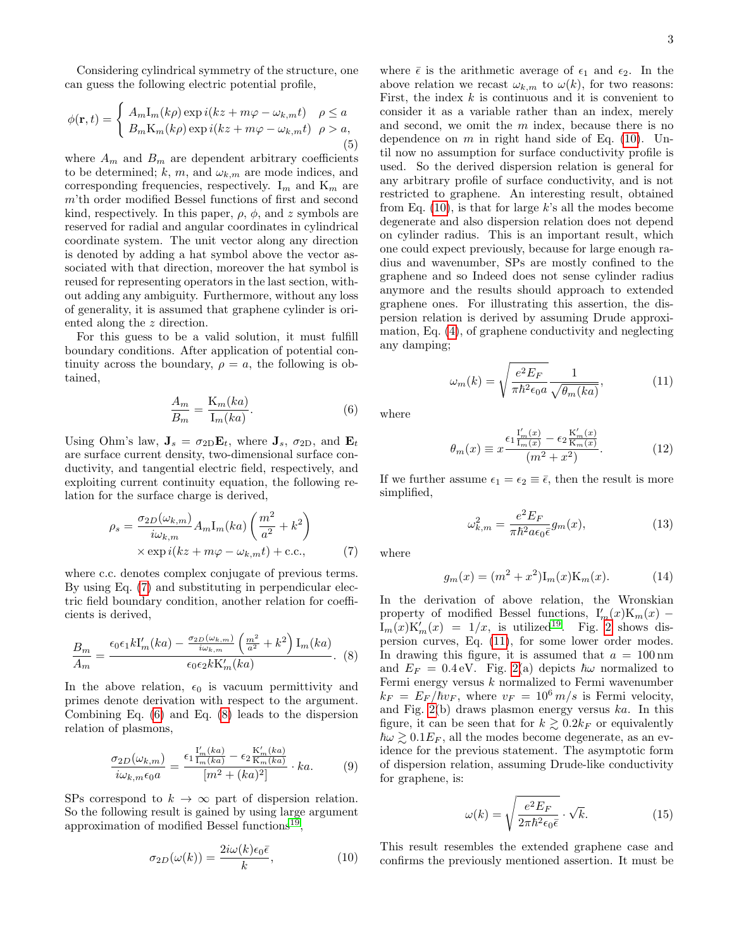Considering cylindrical symmetry of the structure, one can guess the following electric potential profile,

$$
\phi(\mathbf{r},t) = \begin{cases} A_m \mathbf{I}_m(k\rho) \exp i(kz + m\varphi - \omega_{k,m}t) & \rho \le a \\ B_m \mathbf{K}_m(k\rho) \exp i(kz + m\varphi - \omega_{k,m}t) & \rho > a, \end{cases}
$$
(5)

where  $A_m$  and  $B_m$  are dependent arbitrary coefficients to be determined; k, m, and  $\omega_{k,m}$  are mode indices, and corresponding frequencies, respectively.  $I_m$  and  $K_m$  are m'th order modified Bessel functions of first and second kind, respectively. In this paper,  $\rho$ ,  $\phi$ , and z symbols are reserved for radial and angular coordinates in cylindrical coordinate system. The unit vector along any direction is denoted by adding a hat symbol above the vector associated with that direction, moreover the hat symbol is reused for representing operators in the last section, without adding any ambiguity. Furthermore, without any loss of generality, it is assumed that graphene cylinder is oriented along the z direction.

For this guess to be a valid solution, it must fulfill boundary conditions. After application of potential continuity across the boundary,  $\rho = a$ , the following is obtained,

<span id="page-2-1"></span>
$$
\frac{A_m}{B_m} = \frac{\mathcal{K}_m(ka)}{\mathcal{I}_m(ka)}.\tag{6}
$$

Using Ohm's law,  $\mathbf{J}_s = \sigma_{2D} \mathbf{E}_t$ , where  $\mathbf{J}_s$ ,  $\sigma_{2D}$ , and  $\mathbf{E}_t$ are surface current density, two-dimensional surface conductivity, and tangential electric field, respectively, and exploiting current continuity equation, the following relation for the surface charge is derived,

<span id="page-2-0"></span>
$$
\rho_s = \frac{\sigma_{2D}(\omega_{k,m})}{i\omega_{k,m}} A_m \mathbf{I}_m(ka) \left(\frac{m^2}{a^2} + k^2\right)
$$

$$
\times \exp i(kz + m\varphi - \omega_{k,m}t) + \text{c.c.}, \tag{7}
$$

where c.c. denotes complex conjugate of previous terms. By using Eq. [\(7\)](#page-2-0) and substituting in perpendicular electric field boundary condition, another relation for coefficients is derived,

<span id="page-2-2"></span>
$$
\frac{B_m}{A_m} = \frac{\epsilon_0 \epsilon_1 k I'_m(ka) - \frac{\sigma_{2D}(\omega_{k,m})}{i \omega_{k,m}} \left(\frac{m^2}{a^2} + k^2\right) I_m(ka)}{\epsilon_0 \epsilon_2 k K'_m(ka)}.
$$
 (8)

In the above relation,  $\epsilon_0$  is vacuum permittivity and primes denote derivation with respect to the argument. Combining Eq. [\(6\)](#page-2-1) and Eq. [\(8\)](#page-2-2) leads to the dispersion relation of plasmons,

$$
\frac{\sigma_{2D}(\omega_{k,m})}{i\omega_{k,m}\epsilon_0 a} = \frac{\epsilon_1 \frac{I'_m(ka)}{I_m(ka)} - \epsilon_2 \frac{K'_m(ka)}{K_m(ka)}}{[m^2 + (ka)^2]} \cdot ka.
$$
 (9)

SPs correspond to  $k \to \infty$  part of dispersion relation. So the following result is gained by using large argument approximation of modified Bessel functions<sup>[19](#page-8-8)</sup>,

<span id="page-2-3"></span>
$$
\sigma_{2D}(\omega(k)) = \frac{2i\omega(k)\epsilon_0\bar{\epsilon}}{k},\tag{10}
$$

where  $\bar{\epsilon}$  is the arithmetic average of  $\epsilon_1$  and  $\epsilon_2$ . In the above relation we recast  $\omega_{k,m}$  to  $\omega(k)$ , for two reasons: First, the index  $k$  is continuous and it is convenient to consider it as a variable rather than an index, merely and second, we omit the  $m$  index, because there is no dependence on  $m$  in right hand side of Eq. [\(10\)](#page-2-3). Until now no assumption for surface conductivity profile is used. So the derived dispersion relation is general for any arbitrary profile of surface conductivity, and is not restricted to graphene. An interesting result, obtained from Eq.  $(10)$ , is that for large k's all the modes become degenerate and also dispersion relation does not depend on cylinder radius. This is an important result, which one could expect previously, because for large enough radius and wavenumber, SPs are mostly confined to the graphene and so Indeed does not sense cylinder radius anymore and the results should approach to extended graphene ones. For illustrating this assertion, the dispersion relation is derived by assuming Drude approximation, Eq. [\(4\)](#page-1-3), of graphene conductivity and neglecting any damping;

<span id="page-2-4"></span>
$$
\omega_m(k) = \sqrt{\frac{e^2 E_F}{\pi \hbar^2 \epsilon_0 a}} \frac{1}{\sqrt{\theta_m(ka)}},\tag{11}
$$

where

$$
\theta_m(x) \equiv x \frac{\epsilon_1 \frac{\mathbf{I}'_m(x)}{\mathbf{I}_m(x)} - \epsilon_2 \frac{\mathbf{K}'_m(x)}{\mathbf{K}_m(x)}}{(m^2 + x^2)}.
$$
\n(12)

If we further assume  $\epsilon_1 = \epsilon_2 \equiv \bar{\epsilon}$ , then the result is more simplified,

$$
\omega_{k,m}^2 = \frac{e^2 E_F}{\pi \hbar^2 a \epsilon_0 \bar{\epsilon}} g_m(x),\tag{13}
$$

where

$$
g_m(x) = (m^2 + x^2)I_m(x)K_m(x).
$$
 (14)

In the derivation of above relation, the Wronskian property of modified Bessel functions,  $I'_m(x)K_m(x)$  –  $I_m(x)K'_m(x) = 1/x$ , is utilized<sup>[19](#page-8-8)</sup>. Fig. [2](#page-3-0) shows dispersion curves, Eq. [\(11\)](#page-2-4), for some lower order modes. In drawing this figure, it is assumed that  $a = 100 \,\text{nm}$ and  $E_F = 0.4 \text{ eV}$ . Fig. [2\(](#page-3-0)a) depicts  $\hbar \omega$  normalized to Fermi energy versus  $k$  normalized to Fermi wavenumber  $k_F = E_F/\hbar v_F$ , where  $v_F = 10^6 \, m/s$  is Fermi velocity, and Fig.  $2(b)$  draws plasmon energy versus ka. In this figure, it can be seen that for  $k \geq 0.2k_F$  or equivalently  $\hbar\omega \gtrsim 0.1E_F$ , all the modes become degenerate, as an evidence for the previous statement. The asymptotic form of dispersion relation, assuming Drude-like conductivity for graphene, is:

<span id="page-2-5"></span>
$$
\omega(k) = \sqrt{\frac{e^2 E_F}{2\pi \hbar^2 \epsilon_0 \bar{\epsilon}}} \cdot \sqrt{k}.
$$
 (15)

This result resembles the extended graphene case and confirms the previously mentioned assertion. It must be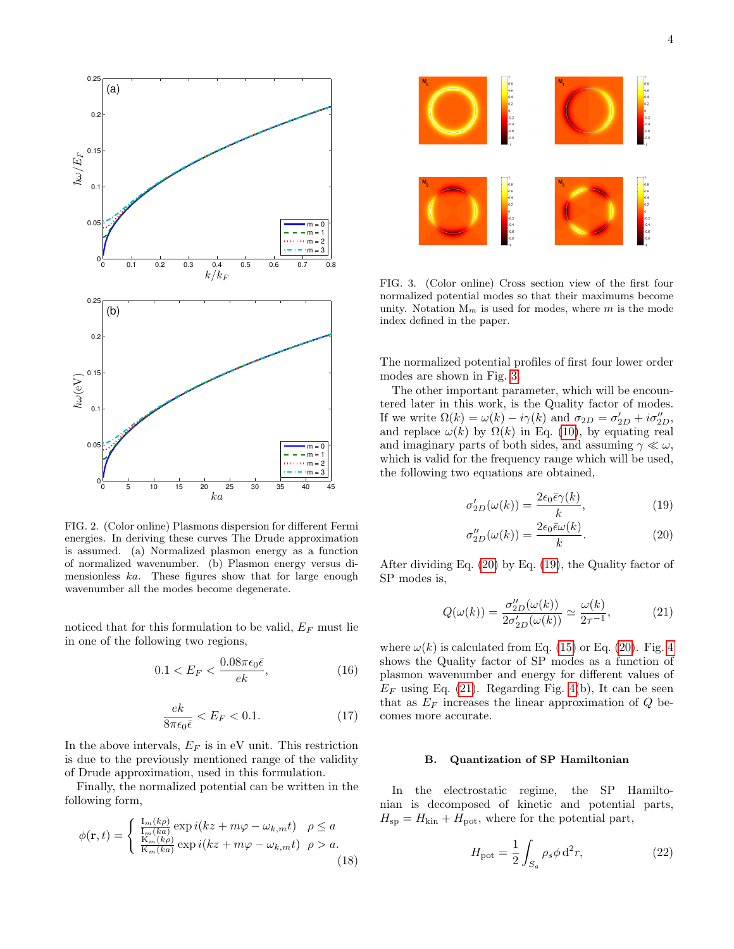

<span id="page-3-0"></span>FIG. 2. (Color online) Plasmons dispersion for different Fermi energies. In deriving these curves The Drude approximation is assumed. (a) Normalized plasmon energy as a function of normalized wavenumber. (b) Plasmon energy versus dimensionless ka. These figures show that for large enough wavenumber all the modes become degenerate.

noticed that for this formulation to be valid,  $E_F$  must lie in one of the following two regions,

<span id="page-3-5"></span>
$$
0.1 < E_F < \frac{0.08\pi\epsilon_0\bar{\epsilon}}{ek},\tag{16}
$$

$$
\frac{ek}{8\pi\epsilon_0\bar{\epsilon}} < E_F < 0.1. \tag{17}
$$

In the above intervals,  $E_F$  is in eV unit. This restriction is due to the previously mentioned range of the validity of Drude approximation, used in this formulation.

Finally, the normalized potential can be written in the following form,

$$
\phi(\mathbf{r},t) = \begin{cases} \frac{\mathrm{I}_{m}(k\rho)}{\mathrm{I}_{m}(k a)} \exp i(kz + m\varphi - \omega_{k,m}t) & \rho \le a\\ \frac{\mathrm{K}_{m}(k\rho)}{\mathrm{K}_{m}(k a)} \exp i(kz + m\varphi - \omega_{k,m}t) & \rho > a. \end{cases}
$$
(18)



<span id="page-3-1"></span>FIG. 3. (Color online) Cross section view of the first four normalized potential modes so that their maximums become unity. Notation  $M_m$  is used for modes, where m is the mode index defined in the paper.

The normalized potential profiles of first four lower order modes are shown in Fig. [3.](#page-3-1)

The other important parameter, which will be encountered later in this work, is the Quality factor of modes. If we write  $\Omega(k) = \omega(k) - i\gamma(k)$  and  $\sigma_{2D} = \sigma'_{2D} + i\sigma''_{2D}$ , and replace  $\omega(k)$  by  $\Omega(k)$  in Eq. [\(10\)](#page-2-3), by equating real and imaginary parts of both sides, and assuming  $\gamma \ll \omega$ , which is valid for the frequency range which will be used, the following two equations are obtained,

<span id="page-3-2"></span>
$$
\sigma'_{2D}(\omega(k)) = \frac{2\epsilon_0 \bar{\epsilon} \gamma(k)}{k},\tag{19}
$$

$$
\sigma_{2D}''(\omega(k)) = \frac{2\epsilon_0 \bar{\epsilon}\omega(k)}{k}.
$$
\n(20)

After dividing Eq. [\(20\)](#page-3-2) by Eq. [\(19\)](#page-3-2), the Quality factor of SP modes is,

<span id="page-3-3"></span>
$$
Q(\omega(k)) = \frac{\sigma_{2D}^{\prime\prime}(\omega(k))}{2\sigma_{2D}^{\prime}(\omega(k))} \simeq \frac{\omega(k)}{2\tau^{-1}},\tag{21}
$$

where  $\omega(k)$  is calculated from Eq. [\(15\)](#page-2-5) or Eq. [\(20\)](#page-3-2). Fig. [4](#page-4-0) shows the Quality factor of SP modes as a function of plasmon wavenumber and energy for different values of  $E_F$  using Eq. [\(21\)](#page-3-3). Regarding Fig. [4\(](#page-4-0)b), It can be seen that as  $E_F$  increases the linear approximation of  $Q$  becomes more accurate.

## B. Quantization of SP Hamiltonian

In the electrostatic regime, the SP Hamiltonian is decomposed of kinetic and potential parts,  $H_{\rm sp} = H_{\rm kin} + H_{\rm pot}$ , where for the potential part,

<span id="page-3-4"></span>
$$
H_{\rm pot} = \frac{1}{2} \int_{S_g} \rho_s \phi \, d^2 r,\tag{22}
$$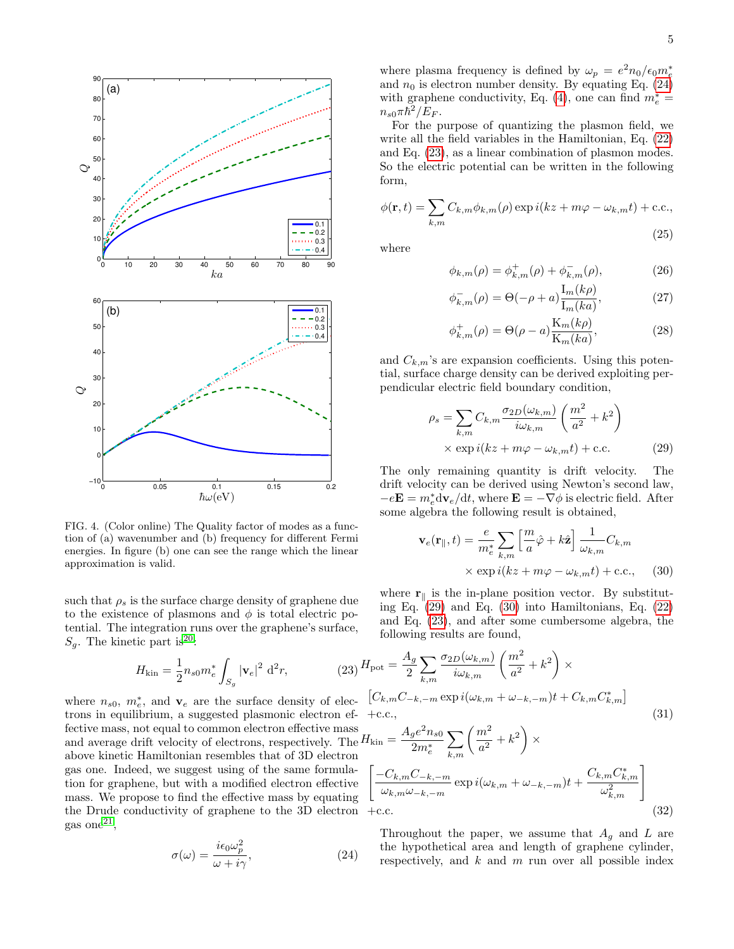

<span id="page-4-0"></span>FIG. 4. (Color online) The Quality factor of modes as a function of (a) wavenumber and (b) frequency for different Fermi energies. In figure (b) one can see the range which the linear approximation is valid.

such that  $\rho_s$  is the surface charge density of graphene due to the existence of plasmons and  $\phi$  is total electric potential. The integration runs over the graphene's surface,  $S_g$ . The kinetic part is<sup>[20](#page-8-9)</sup>:

<span id="page-4-2"></span>
$$
H_{\rm kin} = \frac{1}{2} n_{s0} m_e^* \int_{S_g} |\mathbf{v}_e|^2 \, \mathrm{d}^2 r,\tag{23} H
$$

where  $n_{s0}$ ,  $m_e^*$ , and  $\mathbf{v}_e$  are the surface density of electrons in equilibrium, a suggested plasmonic electron fective mass, not equal to common electron effective m and average drift velocity of electrons, respectively. The  $H_{\text{kin}} =$ above kinetic Hamiltonian resembles that of 3D electron gas one. Indeed, we suggest using of the same formulation for graphene, but with a modified electron effective mass. We propose to find the effective mass by equating the Drude conductivity of graphene to the 3D electron  $\text{gas one}^{21}$  $\text{gas one}^{21}$  $\text{gas one}^{21}$ ,

<span id="page-4-1"></span>
$$
\sigma(\omega) = \frac{i\epsilon_0 \omega_p^2}{\omega + i\gamma},\tag{24}
$$

where plasma frequency is defined by  $\omega_p = e^2 n_0 / \epsilon_0 m_e^*$ and  $n_0$  is electron number density. By equating Eq. [\(24\)](#page-4-1) with graphene conductivity, Eq. [\(4\)](#page-1-3), one can find  $m_e^* =$  $n_{s0}\pi\hbar^2/\dot{E}_F.$ 

For the purpose of quantizing the plasmon field, we write all the field variables in the Hamiltonian, Eq. [\(22\)](#page-3-4) and Eq. [\(23\)](#page-4-2), as a linear combination of plasmon modes. So the electric potential can be written in the following form,

<span id="page-4-6"></span>
$$
\phi(\mathbf{r},t) = \sum_{k,m} C_{k,m} \phi_{k,m}(\rho) \exp i(kz + m\varphi - \omega_{k,m}t) + \text{c.c.},
$$
\n(25)

where

$$
\phi_{k,m}(\rho) = \phi_{k,m}^+(\rho) + \phi_{k,m}^-(\rho), \tag{26}
$$

$$
\phi_{k,m}^{-}(\rho) = \Theta(-\rho + a) \frac{I_m(k\rho)}{I_m(ka)},
$$
\n(27)

$$
\phi_{k,m}^+(\rho) = \Theta(\rho - a) \frac{\mathcal{K}_m(k\rho)}{\mathcal{K}_m(ka)},\tag{28}
$$

and  $C_{k,m}$ 's are expansion coefficients. Using this potential, surface charge density can be derived exploiting perpendicular electric field boundary condition,

<span id="page-4-3"></span>
$$
\rho_s = \sum_{k,m} C_{k,m} \frac{\sigma_{2D}(\omega_{k,m})}{i\omega_{k,m}} \left(\frac{m^2}{a^2} + k^2\right)
$$
  
× exp  $i(kz + m\varphi - \omega_{k,m}t)$  + c.c. (29)

The only remaining quantity is drift velocity. The drift velocity can be derived using Newton's second law,  $-e\mathbf{E} = m_e^* \mathrm{d}\mathbf{v}_e/\mathrm{d}t$ , where  $\mathbf{E} = -\nabla \phi$  is electric field. After some algebra the following result is obtained,

<span id="page-4-4"></span>
$$
\mathbf{v}_e(\mathbf{r}_{\parallel},t) = \frac{e}{m_e^*} \sum_{k,m} \left[ \frac{m}{a} \hat{\varphi} + k \hat{\mathbf{z}} \right] \frac{1}{\omega_{k,m}} C_{k,m}
$$

$$
\times \exp i(kz + m\varphi - \omega_{k,m}t) + \text{c.c.}, \quad (30)
$$

where  $\mathbf{r}_{\parallel}$  is the in-plane position vector. By substituting Eq. [\(29\)](#page-4-3) and Eq. [\(30\)](#page-4-4) into Hamiltonians, Eq. [\(22\)](#page-3-4) and Eq. [\(23\)](#page-4-2), and after some cumbersome algebra, the following results are found,

<span id="page-4-5"></span>
$$
{}_{23}H_{\text{pot}} = \frac{A_g}{2} \sum_{k,m} \frac{\sigma_{2D}(\omega_{k,m})}{i\omega_{k,m}} \left(\frac{m^2}{a^2} + k^2\right) \times
$$
  
ec- [C<sub>k,m</sub>C<sub>-k,-m</sub> exp  $i(\omega_{k,m} + \omega_{-k,-m})t + C_{k,m}C_{k,m}^*\right]$   
eff- +c.c.,  
ass<sub>tr</sub>  $A_g e^2 n_{s0} \sum (m^2 + k^2)$  (31)

$$
I_{\text{kin}} = \frac{A_{g}e^{2}n_{s0}}{2m_{e}^{*}} \sum_{k,m} \left(\frac{m^{2}}{a^{2}} + k^{2}\right) \times
$$
  

$$
\left[\frac{-C_{k,m}C_{-k,-m}}{\omega_{k,m}\omega_{-k,-m}} \exp i(\omega_{k,m} + \omega_{-k,-m})t + \frac{C_{k,m}C_{k,m}^{*}}{\omega_{k,m}^{2}}\right]
$$
  
+c.c. (32)

Throughout the paper, we assume that  $A_q$  and L are the hypothetical area and length of graphene cylinder, respectively, and  $k$  and  $m$  run over all possible index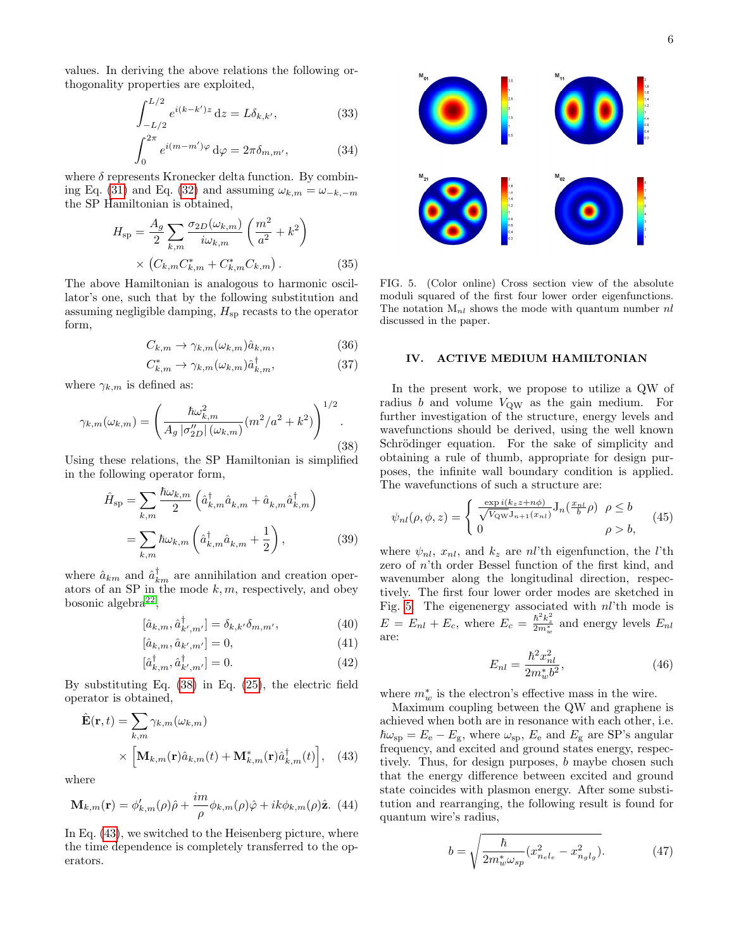values. In deriving the above relations the following orthogonality properties are exploited,

$$
\int_{-L/2}^{L/2} e^{i(k-k')z} dz = L \delta_{k,k'},
$$
\n(33)

$$
\int_0^{2\pi} e^{i(m-m')\varphi} d\varphi = 2\pi \delta_{m,m'},
$$
 (34)

where  $\delta$  represents Kronecker delta function. By combin-ing Eq. [\(31\)](#page-4-5) and Eq. [\(32\)](#page-4-5) and assuming  $\omega_{k,m} = \omega_{-k,-m}$ the SP Hamiltonian is obtained,

$$
H_{\rm sp} = \frac{A_g}{2} \sum_{k,m} \frac{\sigma_{2D}(\omega_{k,m})}{i\omega_{k,m}} \left(\frac{m^2}{a^2} + k^2\right)
$$

$$
\times \left(C_{k,m} C_{k,m}^* + C_{k,m}^* C_{k,m}\right). \tag{35}
$$

The above Hamiltonian is analogous to harmonic oscillator's one, such that by the following substitution and assuming negligible damping,  $H_{\rm sp}$  recasts to the operator form,

$$
C_{k,m} \to \gamma_{k,m}(\omega_{k,m})\hat{a}_{k,m},\tag{36}
$$

$$
C_{k,m}^* \to \gamma_{k,m}(\omega_{k,m})\hat{a}_{k,m}^\dagger,\tag{37}
$$

where  $\gamma_{k,m}$  is defined as:

<span id="page-5-1"></span>
$$
\gamma_{k,m}(\omega_{k,m}) = \left(\frac{\hbar \omega_{k,m}^2}{A_g \, |\sigma_{2D}''| (\omega_{k,m})} (m^2/a^2 + k^2)\right)^{1/2}.
$$
\n(38)

Using these relations, the SP Hamiltonian is simplified in the following operator form,

$$
\hat{H}_{\rm sp} = \sum_{k,m} \frac{\hbar \omega_{k,m}}{2} \left( \hat{a}_{k,m}^{\dagger} \hat{a}_{k,m} + \hat{a}_{k,m} \hat{a}_{k,m}^{\dagger} \right)
$$

$$
= \sum_{k,m} \hbar \omega_{k,m} \left( \hat{a}_{k,m}^{\dagger} \hat{a}_{k,m} + \frac{1}{2} \right), \tag{39}
$$

where  $\hat{a}_{km}$  and  $\hat{a}^{\dagger}_{km}$  are annihilation and creation operators of an SP in the mode  $k, m$ , respectively, and obey bosonic algebra<sup>[22](#page-8-11)</sup>,

$$
[\hat{a}_{k,m}, \hat{a}_{k',m'}^{\dagger}] = \delta_{k,k'} \delta_{m,m'},\tag{40}
$$

$$
[\hat{a}_{k,m}, \hat{a}_{k',m'}] = 0,\t\t(41)
$$

$$
[\hat{a}_{k,m}^{\dagger}, \hat{a}_{k',m'}^{\dagger}] = 0. \tag{42}
$$

By substituting Eq. [\(38\)](#page-5-1) in Eq. [\(25\)](#page-4-6), the electric field operator is obtained,

<span id="page-5-2"></span>
$$
\hat{\mathbf{E}}(\mathbf{r},t) = \sum_{k,m} \gamma_{k,m}(\omega_{k,m})
$$
\n
$$
\times \left[ \mathbf{M}_{k,m}(\mathbf{r}) \hat{a}_{k,m}(t) + \mathbf{M}_{k,m}^*(\mathbf{r}) \hat{a}_{k,m}^\dagger(t) \right], \quad (43)
$$

where

<span id="page-5-4"></span>
$$
\mathbf{M}_{k,m}(\mathbf{r}) = \phi'_{k,m}(\rho)\hat{\rho} + \frac{im}{\rho}\phi_{k,m}(\rho)\hat{\varphi} + ik\phi_{k,m}(\rho)\hat{\mathbf{z}}.\tag{44}
$$

In Eq. [\(43\)](#page-5-2), we switched to the Heisenberg picture, where the time dependence is completely transferred to the operators.



<span id="page-5-3"></span>FIG. 5. (Color online) Cross section view of the absolute moduli squared of the first four lower order eigenfunctions. The notation  $M_{nl}$  shows the mode with quantum number  $nl$ discussed in the paper.

## <span id="page-5-0"></span>IV. ACTIVE MEDIUM HAMILTONIAN

In the present work, we propose to utilize a QW of radius  $b$  and volume  $V_{\text{OW}}$  as the gain medium. For further investigation of the structure, energy levels and wavefunctions should be derived, using the well known Schrödinger equation. For the sake of simplicity and obtaining a rule of thumb, appropriate for design purposes, the infinite wall boundary condition is applied. The wavefunctions of such a structure are:

$$
\psi_{nl}(\rho,\phi,z) = \begin{cases} \frac{\exp i(k_z z + n\phi)}{\sqrt{V_{\text{QW}}} J_{n+1}(x_{nl})} J_n(\frac{x_{nl}}{b}\rho) & \rho \le b\\ 0 & \rho > b, \end{cases} \tag{45}
$$

where  $\psi_{nl}$ ,  $x_{nl}$ , and  $k_z$  are nl'th eigenfunction, the l'th zero of n'th order Bessel function of the first kind, and wavenumber along the longitudinal direction, respectively. The first four lower order modes are sketched in Fig. [5.](#page-5-3) The eigenenergy associated with nl'th mode is  $E = E_{nl} + E_c$ , where  $E_c = \frac{\hbar^2 k_z^2}{2m_w^*}$  and energy levels  $E_{nl}$ are:

$$
E_{nl} = \frac{\hbar^2 x_{nl}^2}{2m_w^* b^2},\tag{46}
$$

where  $m^*_{w}$  is the electron's effective mass in the wire.

Maximum coupling between the QW and graphene is achieved when both are in resonance with each other, i.e.  $\hbar\omega_{\rm sp} = E_{\rm e} - E_{\rm g}$ , where  $\omega_{\rm sp}$ ,  $E_{\rm e}$  and  $E_{\rm g}$  are SP's angular frequency, and excited and ground states energy, respectively. Thus, for design purposes, b maybe chosen such that the energy difference between excited and ground state coincides with plasmon energy. After some substitution and rearranging, the following result is found for quantum wire's radius,

<span id="page-5-5"></span>
$$
b = \sqrt{\frac{\hbar}{2m_w^* \omega_{sp}} (x_{n_e l_e}^2 - x_{n_g l_g}^2)}.
$$
 (47)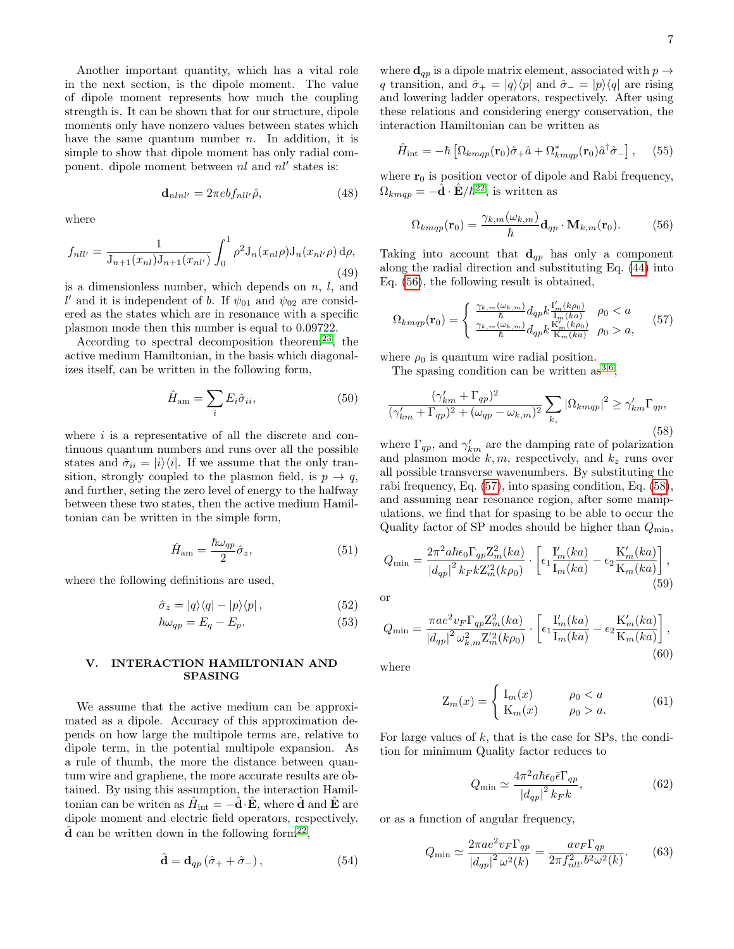Another important quantity, which has a vital role in the next section, is the dipole moment. The value of dipole moment represents how much the coupling strength is. It can be shown that for our structure, dipole moments only have nonzero values between states which have the same quantum number  $n$ . In addition, it is simple to show that dipole moment has only radial component. dipole moment between  $nl$  and  $nl'$  states is:

$$
\mathbf{d}_{nlnl'} = 2\pi ebf_{nll'}\hat{\rho},\tag{48}
$$

where

$$
f_{nll'} = \frac{1}{\mathcal{J}_{n+1}(x_{nl})\mathcal{J}_{n+1}(x_{nl'})} \int_0^1 \rho^2 \mathcal{J}_n(x_{nl}\rho) \mathcal{J}_n(x_{nl'}\rho) d\rho,
$$
\n(49)

is a dimensionless number, which depends on  $n, l$ , and l' and it is independent of b. If  $\psi_{01}$  and  $\psi_{02}$  are considered as the states which are in resonance with a specific plasmon mode then this number is equal to 0.09722.

According to spectral decomposition theorem<sup>[23](#page-8-12)</sup>, the active medium Hamiltonian, in the basis which diagonalizes itself, can be written in the following form,

$$
\hat{H}_{\text{am}} = \sum_{i} E_i \hat{\sigma}_{ii},\tag{50}
$$

where  $i$  is a representative of all the discrete and continuous quantum numbers and runs over all the possible states and  $\hat{\sigma}_{ii} = |i\rangle\langle i|$ . If we assume that the only transition, strongly coupled to the plasmon field, is  $p \to q$ , and further, seting the zero level of energy to the halfway between these two states, then the active medium Hamiltonian can be written in the simple form,

$$
\hat{H}_{\rm am} = \frac{\hbar \omega_{qp}}{2} \hat{\sigma}_z,\tag{51}
$$

where the following definitions are used,

$$
\hat{\sigma}_z = |q\rangle\langle q| - |p\rangle\langle p| \,,\tag{52}
$$

$$
\hbar\omega_{qp} = E_q - E_p. \tag{53}
$$

## <span id="page-6-0"></span>V. INTERACTION HAMILTONIAN AND SPASING

We assume that the active medium can be approximated as a dipole. Accuracy of this approximation depends on how large the multipole terms are, relative to dipole term, in the potential multipole expansion. As a rule of thumb, the more the distance between quantum wire and graphene, the more accurate results are obtained. By using this assumption, the interaction Hamiltonian can be writen as  $\hat{H}_{\text{int}} = -\hat{\mathbf{d}} \cdot \hat{\mathbf{E}}$ , where  $\hat{\mathbf{d}}$  and  $\hat{\mathbf{E}}$  are dipole moment and electric field operators, respectively.  $\hat{d}$  can be written down in the following form<sup>[22](#page-8-11)</sup>,

$$
\hat{\mathbf{d}} = \mathbf{d}_{qp} \left( \hat{\sigma}_+ + \hat{\sigma}_- \right),\tag{54}
$$

where  $\mathbf{d}_{qp}$  is a dipole matrix element, associated with  $p \rightarrow$ q transition, and  $\hat{\sigma}_+ = |q\rangle\langle p|$  and  $\hat{\sigma}_- = |p\rangle\langle q|$  are rising and lowering ladder operators, respectively. After using these relations and considering energy conservation, the interaction Hamiltonian can be written as

$$
\hat{H}_{\text{int}} = -\hbar \left[ \Omega_{kmqp}(\mathbf{r}_0)\hat{\sigma}_+ \hat{a} + \Omega_{kmqp}^*(\mathbf{r}_0)\hat{a}^\dagger \hat{\sigma}_- \right], \quad (55)
$$

where  $r_0$  is position vector of dipole and Rabi frequency,  $\Omega_{k m q p} = -\hat{\mathbf{d}} \cdot \hat{\mathbf{E}} / \hbar^{22}$  $\Omega_{k m q p} = -\hat{\mathbf{d}} \cdot \hat{\mathbf{E}} / \hbar^{22}$  $\Omega_{k m q p} = -\hat{\mathbf{d}} \cdot \hat{\mathbf{E}} / \hbar^{22}$ , is written as

<span id="page-6-1"></span>
$$
\Omega_{k m q p}(\mathbf{r}_0) = \frac{\gamma_{k,m}(\omega_{k,m})}{\hbar} \mathbf{d}_{q p} \cdot \mathbf{M}_{k,m}(\mathbf{r}_0).
$$
 (56)

Taking into account that  $\mathbf{d}_{qp}$  has only a component along the radial direction and substituting Eq. [\(44\)](#page-5-4) into Eq. [\(56\)](#page-6-1), the following result is obtained,

<span id="page-6-2"></span>
$$
\Omega_{kmap}(\mathbf{r}_0) = \begin{cases} \frac{\gamma_{k,m}(\omega_{k,m})}{\hbar} d_{qp} k \frac{\mathbf{I}'_m(k\rho_0)}{\mathbf{I}_m(ka)} & \rho_0 < a\\ \frac{\gamma_{k,m}(\omega_{k,m})}{\hbar} d_{qp} k \frac{\mathbf{K}'_m(k\rho_0)}{\mathbf{K}_m(ka)} & \rho_0 > a, \end{cases}
$$
(57)

where  $\rho_0$  is quantum wire radial position.

The spasing condition can be written as  $3,6$  $3,6$ ,

<span id="page-6-3"></span>
$$
\frac{(\gamma_{km}^{\prime} + \Gamma_{qp})^2}{(\gamma_{km}^{\prime} + \Gamma_{qp})^2 + (\omega_{qp} - \omega_{k,m})^2} \sum_{k_z} |\Omega_{kmqp}|^2 \ge \gamma_{km}^{\prime} \Gamma_{qp},
$$
\n(58)

where  $\Gamma_{qp}$ , and  $\gamma'_{km}$  are the damping rate of polarization and plasmon mode  $k, m$ , respectively, and  $k_z$  runs over all possible transverse wavenumbers. By substituting the rabi frequency, Eq. [\(57\)](#page-6-2), into spasing condition, Eq. [\(58\)](#page-6-3), and assuming near resonance region, after some manipulations, we find that for spasing to be able to occur the Quality factor of SP modes should be higher than  $Q_{\min}$ ,

$$
Q_{\min} = \frac{2\pi^2 a \hbar \epsilon_0 \Gamma_{qp} Z_m^2(ka)}{|d_{qp}|^2 k_F k Z_m'^2(k\rho_0)} \cdot \left[ \epsilon_1 \frac{\mathcal{I}_m'(ka)}{\mathcal{I}_m(ka)} - \epsilon_2 \frac{\mathcal{K}_m'(ka)}{\mathcal{K}_m(ka)} \right],
$$
\n(59)

or

$$
Q_{\min} = \frac{\pi a e^2 v_F \Gamma_{qp} Z_m^2(ka)}{|d_{qp}|^2 \omega_{k,m}^2 Z_m^2(k\rho_0)} \cdot \left[ \epsilon_1 \frac{\mathcal{I}'_m(ka)}{\mathcal{I}_m(ka)} - \epsilon_2 \frac{\mathcal{K}'_m(ka)}{\mathcal{K}_m(ka)} \right],
$$
\n(60)

where

$$
Z_m(x) = \begin{cases} I_m(x) & \rho_0 < a \\ K_m(x) & \rho_0 > a. \end{cases}
$$
 (61)

For large values of  $k$ , that is the case for SPs, the condition for minimum Quality factor reduces to

$$
Q_{\min} \simeq \frac{4\pi^2 a \hbar \epsilon_0 \bar{\epsilon} \Gamma_{qp}}{|d_{qp}|^2 k_F k},\tag{62}
$$

or as a function of angular frequency,

<span id="page-6-4"></span>
$$
Q_{\min} \simeq \frac{2\pi a e^2 v_F \Gamma_{qp}}{|d_{qp}|^2 \omega^2(k)} = \frac{a v_F \Gamma_{qp}}{2\pi f_{nll'}^2 b^2 \omega^2(k)}.
$$
 (63)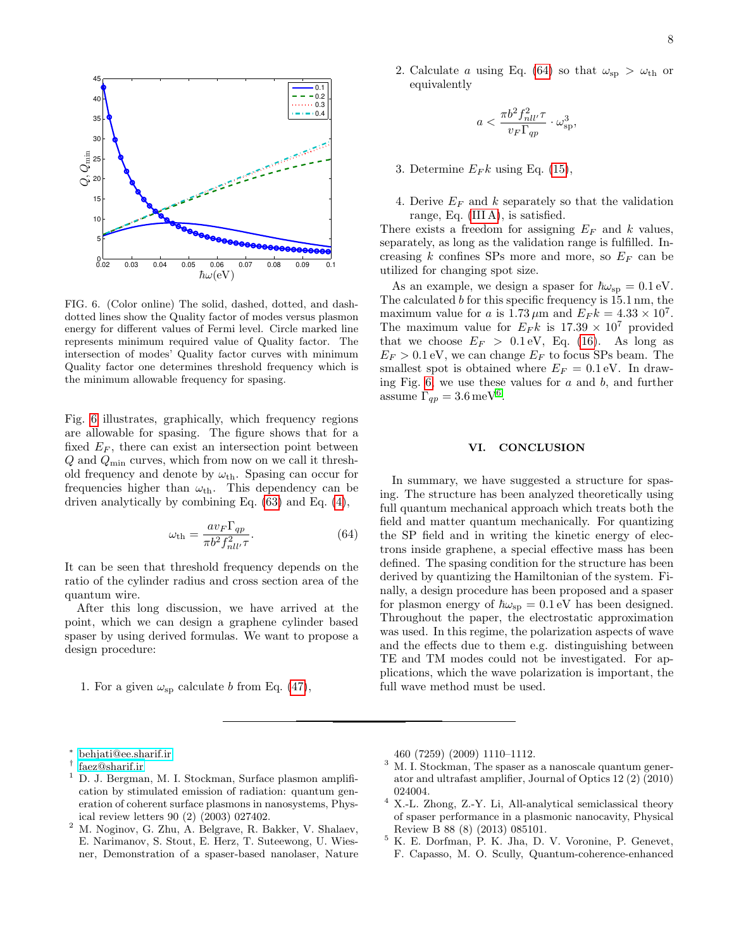

$$
a<\frac{\pi b^2f_{nll'}^2\tau}{v_F\Gamma_{qp}}\cdot\omega_{\rm sp}^3,
$$

- 3. Determine  $E_F k$  using Eq. [\(15\)](#page-2-5),
- 4. Derive  $E_F$  and k separately so that the validation range, Eq. [\(III A\)](#page-2-5), is satisfied.

There exists a freedom for assigning  $E_F$  and k values, separately, as long as the validation range is fulfilled. Increasing  $k$  confines SPs more and more, so  $E_F$  can be utilized for changing spot size.

As an example, we design a spaser for  $\hbar\omega_{\rm sp} = 0.1 \,\text{eV}$ . The calculated b for this specific frequency is 15.1 nm, the maximum value for a is  $1.73 \mu$ m and  $E_F k = 4.33 \times 10^7$ . The maximum value for  $E_F k$  is  $17.39 \times 10^7$  provided that we choose  $E_F > 0.1 \text{ eV}$ , Eq. [\(16\)](#page-3-5). As long as  $E_F > 0.1$  eV, we can change  $E_F$  to focus SPs beam. The smallest spot is obtained where  $E_F = 0.1$  eV. In drawing Fig.  $6$ , we use these values for  $a$  and  $b$ , and further assume  $\Gamma_{qp} = 3.6 \,\text{meV}^6$  $\Gamma_{qp} = 3.6 \,\text{meV}^6$  $\Gamma_{qp} = 3.6 \,\text{meV}^6$ .

## VI. CONCLUSION

In summary, we have suggested a structure for spasing. The structure has been analyzed theoretically using full quantum mechanical approach which treats both the field and matter quantum mechanically. For quantizing the SP field and in writing the kinetic energy of electrons inside graphene, a special effective mass has been defined. The spasing condition for the structure has been derived by quantizing the Hamiltonian of the system. Finally, a design procedure has been proposed and a spaser for plasmon energy of  $\hbar\omega_{\rm sp} = 0.1 \,\text{eV}$  has been designed. Throughout the paper, the electrostatic approximation was used. In this regime, the polarization aspects of wave and the effects due to them e.g. distinguishing between TE and TM modes could not be investigated. For applications, which the wave polarization is important, the full wave method must be used.



<span id="page-7-7"></span>FIG. 6. (Color online) The solid, dashed, dotted, and dashdotted lines show the Quality factor of modes versus plasmon energy for different values of Fermi level. Circle marked line represents minimum required value of Quality factor. The intersection of modes' Quality factor curves with minimum Quality factor one determines threshold frequency which is the minimum allowable frequency for spasing.

Fig. [6](#page-7-7) illustrates, graphically, which frequency regions are allowable for spasing. The figure shows that for a fixed  $E_F$ , there can exist an intersection point between  $Q$  and  $Q_{\text{min}}$  curves, which from now on we call it threshold frequency and denote by  $\omega_{\rm th}$ . Spasing can occur for frequencies higher than  $\omega_{th}$ . This dependency can be driven analytically by combining Eq. [\(63\)](#page-6-4) and Eq. [\(4\)](#page-4-0),

<span id="page-7-8"></span>
$$
\omega_{\rm th} = \frac{a v_F \Gamma_{qp}}{\pi b^2 f_{nll'}^2 \tau}.
$$
\n(64)

It can be seen that threshold frequency depends on the ratio of the cylinder radius and cross section area of the quantum wire.

After this long discussion, we have arrived at the point, which we can design a graphene cylinder based spaser by using derived formulas. We want to propose a design procedure:

1. For a given  $\omega_{\rm sp}$  calculate b from Eq. [\(47\)](#page-5-5),

<span id="page-7-0"></span><sup>∗</sup> [behjati@ee.sharif.ir](mailto:behjati@ee.sharif.ir)

- <span id="page-7-1"></span>† [faez@sharif.ir](mailto:faez@sharif.ir)
- <span id="page-7-2"></span><sup>1</sup> D. J. Bergman, M. I. Stockman, Surface plasmon amplification by stimulated emission of radiation: quantum generation of coherent surface plasmons in nanosystems, Physical review letters 90 (2) (2003) 027402.
- <span id="page-7-3"></span><sup>2</sup> M. Noginov, G. Zhu, A. Belgrave, R. Bakker, V. Shalaev, E. Narimanov, S. Stout, E. Herz, T. Suteewong, U. Wiesner, Demonstration of a spaser-based nanolaser, Nature

460 (7259) (2009) 1110–1112.

- <span id="page-7-4"></span> $3 \,$  M. I. Stockman, The spaser as a nanoscale quantum generator and ultrafast amplifier, Journal of Optics 12 (2) (2010) 024004.
- <span id="page-7-5"></span> $^4\,$  X.-L. Zhong, Z.-Y. Li, All-analytical semiclassical theory of spaser performance in a plasmonic nanocavity, Physical Review B 88 (8) (2013) 085101.
- <span id="page-7-6"></span> $5 K. E.$  Dorfman, P. K. Jha, D. V. Voronine, P. Genevet, F. Capasso, M. O. Scully, Quantum-coherence-enhanced